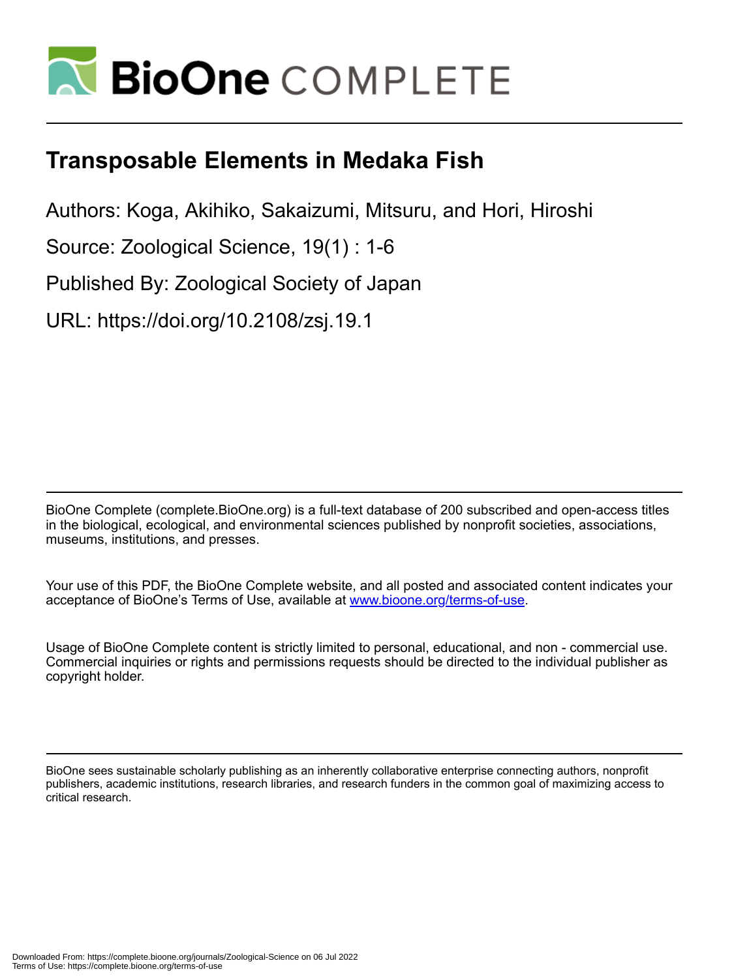

# **Transposable Elements in Medaka Fish**

Authors: Koga, Akihiko, Sakaizumi, Mitsuru, and Hori, Hiroshi

Source: Zoological Science, 19(1) : 1-6

Published By: Zoological Society of Japan

URL: https://doi.org/10.2108/zsj.19.1

BioOne Complete (complete.BioOne.org) is a full-text database of 200 subscribed and open-access titles in the biological, ecological, and environmental sciences published by nonprofit societies, associations, museums, institutions, and presses.

Your use of this PDF, the BioOne Complete website, and all posted and associated content indicates your acceptance of BioOne's Terms of Use, available at www.bioone.org/terms-of-use.

Usage of BioOne Complete content is strictly limited to personal, educational, and non - commercial use. Commercial inquiries or rights and permissions requests should be directed to the individual publisher as copyright holder.

BioOne sees sustainable scholarly publishing as an inherently collaborative enterprise connecting authors, nonprofit publishers, academic institutions, research libraries, and research funders in the common goal of maximizing access to critical research.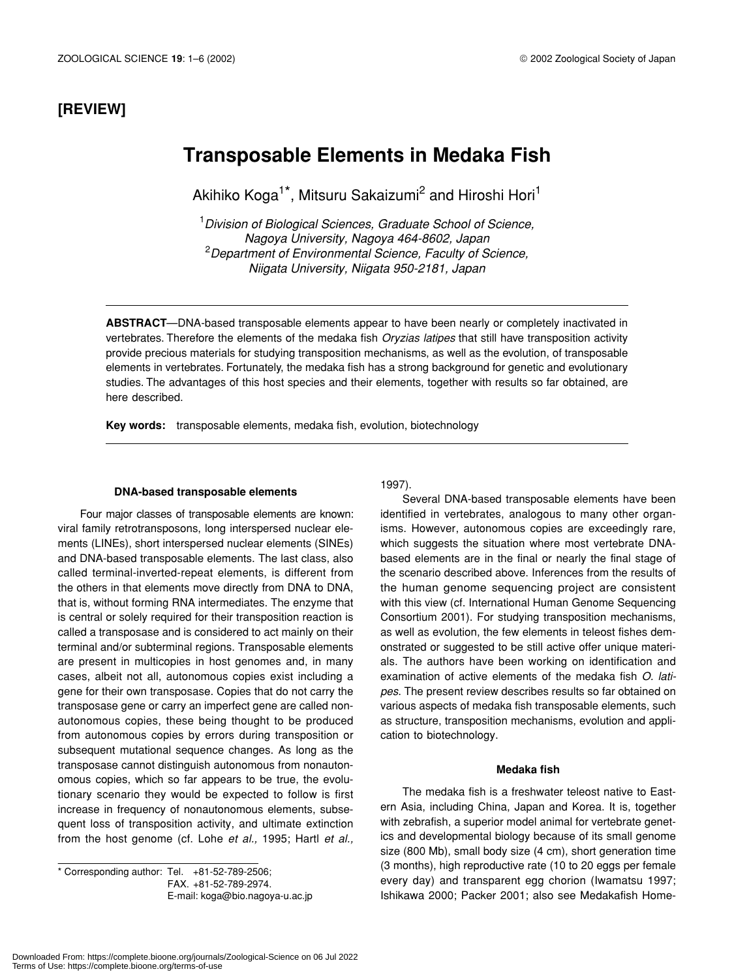### **[REVIEW]**

## **Transposable Elements in Medaka Fish**

Akihiko Koga<sup>1\*</sup>, Mitsuru Sakaizumi<sup>2</sup> and Hiroshi Hori<sup>1</sup>

1 *Division of Biological Sciences, Graduate School of Science, Nagoya University, Nagoya 464-8602, Japan* 2 *Department of Environmental Science, Faculty of Science, Niigata University, Niigata 950-2181, Japan*

**ABSTRACT**—DNA-based transposable elements appear to have been nearly or completely inactivated in vertebrates. Therefore the elements of the medaka fish *Oryzias latipes* that still have transposition activity provide precious materials for studying transposition mechanisms, as well as the evolution, of transposable elements in vertebrates. Fortunately, the medaka fish has a strong background for genetic and evolutionary studies. The advantages of this host species and their elements, together with results so far obtained, are here described.

**Key words:** transposable elements, medaka fish, evolution, biotechnology

#### **DNA-based transposable elements**

Four major classes of transposable elements are known: viral family retrotransposons, long interspersed nuclear elements (LINEs), short interspersed nuclear elements (SINEs) and DNA-based transposable elements. The last class, also called terminal-inverted-repeat elements, is different from the others in that elements move directly from DNA to DNA, that is, without forming RNA intermediates. The enzyme that is central or solely required for their transposition reaction is called a transposase and is considered to act mainly on their terminal and/or subterminal regions. Transposable elements are present in multicopies in host genomes and, in many cases, albeit not all, autonomous copies exist including a gene for their own transposase. Copies that do not carry the transposase gene or carry an imperfect gene are called nonautonomous copies, these being thought to be produced from autonomous copies by errors during transposition or subsequent mutational sequence changes. As long as the transposase cannot distinguish autonomous from nonautonomous copies, which so far appears to be true, the evolutionary scenario they would be expected to follow is first increase in frequency of nonautonomous elements, subsequent loss of transposition activity, and ultimate extinction from the host genome (cf. Lohe *et al.,* 1995; Hartl *et al.,*

\* Corresponding author: Tel. +81-52-789-2506; FAX. +81-52-789-2974. E-mail: koga@bio.nagoya-u.ac.jp 1997).

Several DNA-based transposable elements have been identified in vertebrates, analogous to many other organisms. However, autonomous copies are exceedingly rare, which suggests the situation where most vertebrate DNAbased elements are in the final or nearly the final stage of the scenario described above. Inferences from the results of the human genome sequencing project are consistent with this view (cf. International Human Genome Sequencing Consortium 2001). For studying transposition mechanisms, as well as evolution, the few elements in teleost fishes demonstrated or suggested to be still active offer unique materials. The authors have been working on identification and examination of active elements of the medaka fish *O. latipes*. The present review describes results so far obtained on various aspects of medaka fish transposable elements, such as structure, transposition mechanisms, evolution and application to biotechnology.

#### **Medaka fish**

The medaka fish is a freshwater teleost native to Eastern Asia, including China, Japan and Korea. It is, together with zebrafish, a superior model animal for vertebrate genetics and developmental biology because of its small genome size (800 Mb), small body size (4 cm), short generation time (3 months), high reproductive rate (10 to 20 eggs per female every day) and transparent egg chorion (Iwamatsu 1997; Ishikawa 2000; Packer 2001; also see Medakafish Home-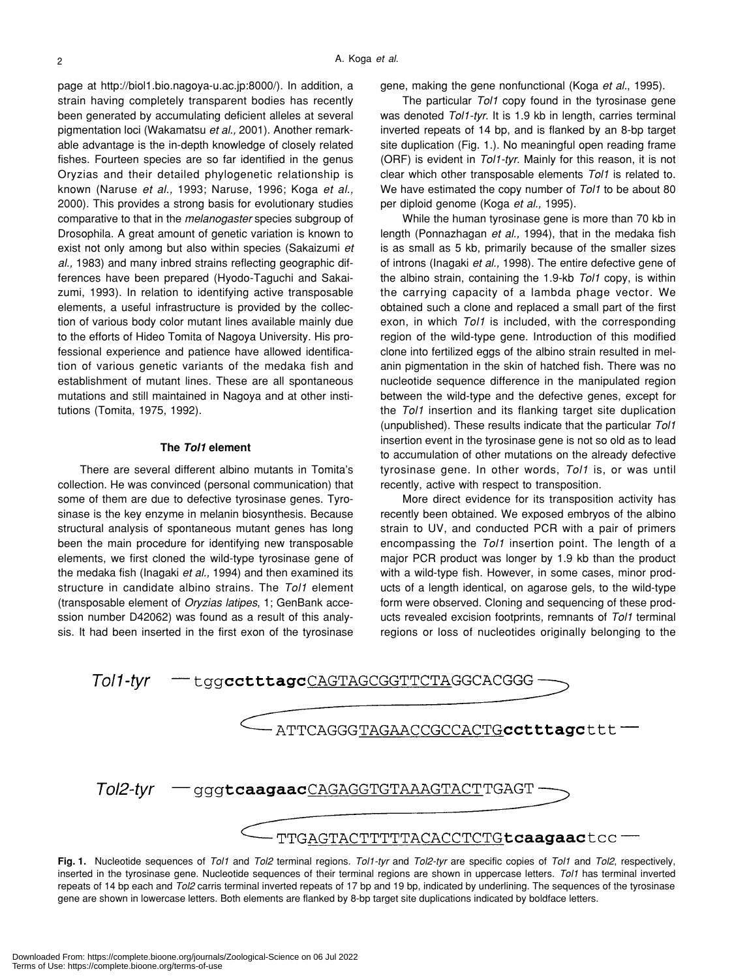page at http://biol1.bio.nagoya-u.ac.jp:8000/). In addition, a strain having completely transparent bodies has recently been generated by accumulating deficient alleles at several pigmentation loci (Wakamatsu *et al.,* 2001). Another remarkable advantage is the in-depth knowledge of closely related fishes. Fourteen species are so far identified in the genus Oryzias and their detailed phylogenetic relationship is known (Naruse *et al.,* 1993; Naruse, 1996; Koga *et al.,* 2000). This provides a strong basis for evolutionary studies comparative to that in the *melanogaster* species subgroup of Drosophila. A great amount of genetic variation is known to exist not only among but also within species (Sakaizumi *et al.,* 1983) and many inbred strains reflecting geographic differences have been prepared (Hyodo-Taguchi and Sakaizumi, 1993). In relation to identifying active transposable elements, a useful infrastructure is provided by the collection of various body color mutant lines available mainly due to the efforts of Hideo Tomita of Nagoya University. His professional experience and patience have allowed identification of various genetic variants of the medaka fish and establishment of mutant lines. These are all spontaneous mutations and still maintained in Nagoya and at other institutions (Tomita, 1975, 1992).

#### **The** *Tol1* **element**

There are several different albino mutants in Tomita's collection. He was convinced (personal communication) that some of them are due to defective tyrosinase genes. Tyrosinase is the key enzyme in melanin biosynthesis. Because structural analysis of spontaneous mutant genes has long been the main procedure for identifying new transposable elements, we first cloned the wild-type tyrosinase gene of the medaka fish (Inagaki *et al.,* 1994) and then examined its structure in candidate albino strains. The *Tol1* element (transposable element of *Oryzias latipes*, 1; GenBank accession number D42062) was found as a result of this analysis. It had been inserted in the first exon of the tyrosinase gene, making the gene nonfunctional (Koga *et al.*, 1995).

The particular *Tol1* copy found in the tyrosinase gene was denoted *Tol1-tyr*. It is 1.9 kb in length, carries terminal inverted repeats of 14 bp, and is flanked by an 8-bp target site duplication (Fig. 1.). No meaningful open reading frame (ORF) is evident in *Tol1-tyr*. Mainly for this reason, it is not clear which other transposable elements *Tol1* is related to. We have estimated the copy number of *Tol1* to be about 80 per diploid genome (Koga *et al.,* 1995).

While the human tyrosinase gene is more than 70 kb in length (Ponnazhagan *et al.,* 1994), that in the medaka fish is as small as 5 kb, primarily because of the smaller sizes of introns (Inagaki *et al.,* 1998). The entire defective gene of the albino strain, containing the 1.9-kb *Tol1* copy, is within the carrying capacity of a lambda phage vector. We obtained such a clone and replaced a small part of the first exon, in which *Tol1* is included, with the corresponding region of the wild-type gene. Introduction of this modified clone into fertilized eggs of the albino strain resulted in melanin pigmentation in the skin of hatched fish. There was no nucleotide sequence difference in the manipulated region between the wild-type and the defective genes, except for the *Tol1* insertion and its flanking target site duplication (unpublished). These results indicate that the particular *Tol1* insertion event in the tyrosinase gene is not so old as to lead to accumulation of other mutations on the already defective tyrosinase gene. In other words, *Tol1* is, or was until recently, active with respect to transposition.

More direct evidence for its transposition activity has recently been obtained. We exposed embryos of the albino strain to UV, and conducted PCR with a pair of primers encompassing the *Tol1* insertion point. The length of a major PCR product was longer by 1.9 kb than the product with a wild-type fish. However, in some cases, minor products of a length identical, on agarose gels, to the wild-type form were observed. Cloning and sequencing of these products revealed excision footprints, remnants of *Tol1* terminal regions or loss of nucleotides originally belonging to the



**Fig. 1.** Nucleotide sequences of *Tol1* and *Tol2* terminal regions. *Tol1-tyr* and *Tol2-tyr* are specific copies of *Tol1* and *Tol2*, respectively, inserted in the tyrosinase gene. Nucleotide sequences of their terminal regions are shown in uppercase letters. *Tol1* has terminal inverted repeats of 14 bp each and *Tol2* carris terminal inverted repeats of 17 bp and 19 bp, indicated by underlining. The sequences of the tyrosinase gene are shown in lowercase letters. Both elements are flanked by 8-bp target site duplications indicated by boldface letters.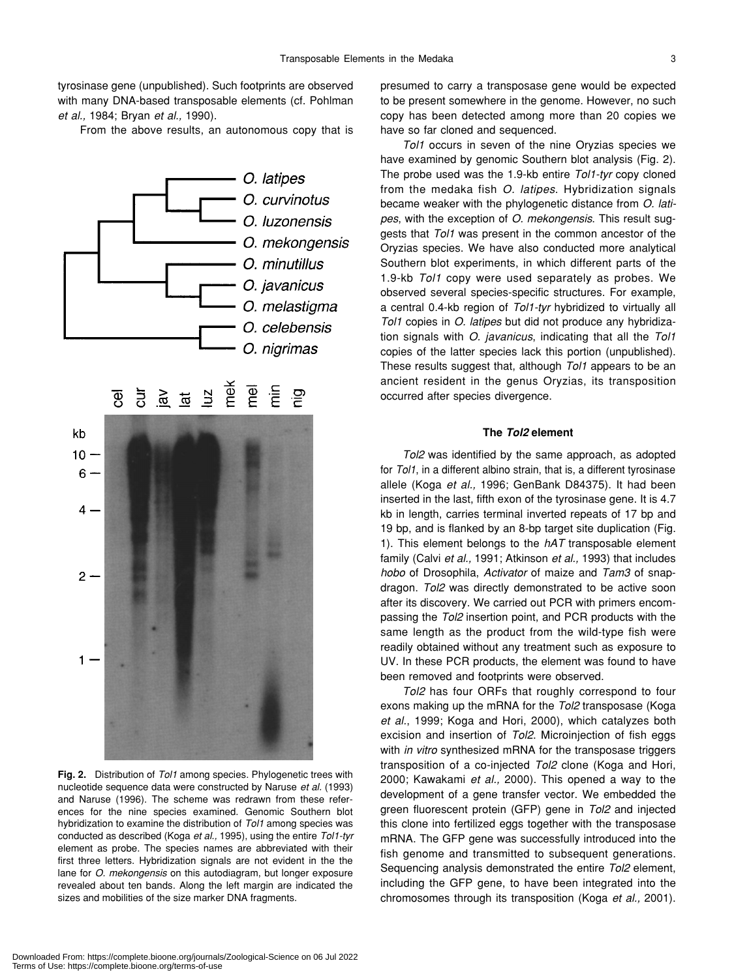tyrosinase gene (unpublished). Such footprints are observed with many DNA-based transposable elements (cf. Pohlman *et al.,* 1984; Bryan *et al.,* 1990).

From the above results, an autonomous copy that is



**Fig. 2.** Distribution of *Tol1* among species. Phylogenetic trees with nucleotide sequence data were constructed by Naruse *et al.* (1993) and Naruse (1996). The scheme was redrawn from these references for the nine species examined. Genomic Southern blot hybridization to examine the distribution of *Tol1* among species was conducted as described (Koga *et al.,* 1995), using the entire *Tol1-tyr* element as probe. The species names are abbreviated with their first three letters. Hybridization signals are not evident in the the lane for *O. mekongensis* on this autodiagram, but longer exposure revealed about ten bands. Along the left margin are indicated the sizes and mobilities of the size marker DNA fragments.

presumed to carry a transposase gene would be expected to be present somewhere in the genome. However, no such copy has been detected among more than 20 copies we have so far cloned and sequenced.

*Tol1* occurs in seven of the nine Oryzias species we have examined by genomic Southern blot analysis (Fig. 2). The probe used was the 1.9-kb entire *Tol1-tyr* copy cloned from the medaka fish *O. latipes*. Hybridization signals became weaker with the phylogenetic distance from *O. latipes*, with the exception of *O. mekongensis*. This result suggests that *Tol1* was present in the common ancestor of the Oryzias species. We have also conducted more analytical Southern blot experiments, in which different parts of the 1.9-kb *Tol1* copy were used separately as probes. We observed several species-specific structures. For example, a central 0.4-kb region of *Tol1-tyr* hybridized to virtually all *Tol1* copies in *O. latipes* but did not produce any hybridization signals with *O. javanicus*, indicating that all the *Tol1* copies of the latter species lack this portion (unpublished). These results suggest that, although *Tol1* appears to be an ancient resident in the genus Oryzias, its transposition occurred after species divergence.

#### **The** *Tol2* **element**

*Tol2* was identified by the same approach, as adopted for *Tol1*, in a different albino strain, that is, a different tyrosinase allele (Koga *et al.,* 1996; GenBank D84375). It had been inserted in the last, fifth exon of the tyrosinase gene. It is 4.7 kb in length, carries terminal inverted repeats of 17 bp and 19 bp, and is flanked by an 8-bp target site duplication (Fig. 1). This element belongs to the *hAT* transposable element family (Calvi *et al.,* 1991; Atkinson *et al.,* 1993) that includes *hobo* of Drosophila, *Activator* of maize and *Tam3* of snapdragon. *Tol2* was directly demonstrated to be active soon after its discovery. We carried out PCR with primers encompassing the *Tol2* insertion point, and PCR products with the same length as the product from the wild-type fish were readily obtained without any treatment such as exposure to UV. In these PCR products, the element was found to have been removed and footprints were observed.

*Tol2* has four ORFs that roughly correspond to four exons making up the mRNA for the *Tol2* transposase (Koga *et al.*, 1999; Koga and Hori, 2000), which catalyzes both excision and insertion of *Tol2*. Microinjection of fish eggs with *in vitro* synthesized mRNA for the transposase triggers transposition of a co-injected *Tol2* clone (Koga and Hori, 2000; Kawakami *et al.,* 2000). This opened a way to the development of a gene transfer vector. We embedded the green fluorescent protein (GFP) gene in *Tol2* and injected this clone into fertilized eggs together with the transposase mRNA. The GFP gene was successfully introduced into the fish genome and transmitted to subsequent generations. Sequencing analysis demonstrated the entire *Tol2* element, including the GFP gene, to have been integrated into the chromosomes through its transposition (Koga *et al.,* 2001).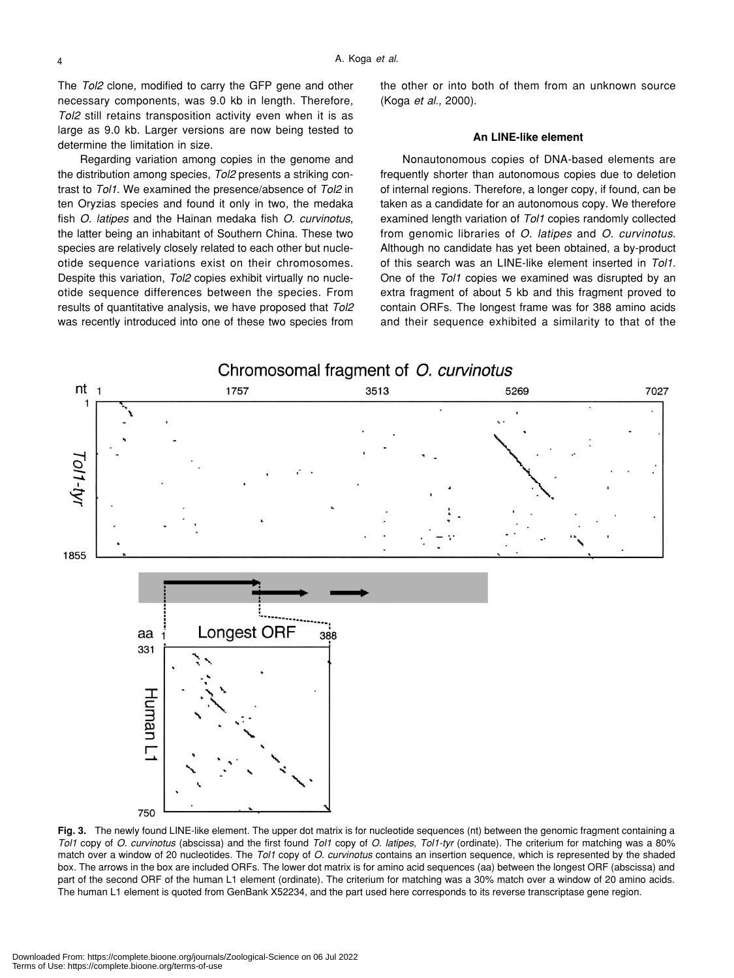The *Tol2* clone, modified to carry the GFP gene and other necessary components, was 9.0 kb in length. Therefore, *Tol2* still retains transposition activity even when it is as large as 9.0 kb. Larger versions are now being tested to determine the limitation in size.

Regarding variation among copies in the genome and the distribution among species, *Tol2* presents a striking contrast to *Tol1*. We examined the presence/absence of *Tol2* in ten Oryzias species and found it only in two, the medaka fish *O. latipes* and the Hainan medaka fish *O. curvinotus*, the latter being an inhabitant of Southern China. These two species are relatively closely related to each other but nucleotide sequence variations exist on their chromosomes. Despite this variation, *Tol2* copies exhibit virtually no nucleotide sequence differences between the species. From results of quantitative analysis, we have proposed that *Tol2* was recently introduced into one of these two species from

the other or into both of them from an unknown source (Koga *et al.,* 2000).

#### **An LINE-like element**

Nonautonomous copies of DNA-based elements are frequently shorter than autonomous copies due to deletion of internal regions. Therefore, a longer copy, if found, can be taken as a candidate for an autonomous copy. We therefore examined length variation of *Tol1* copies randomly collected from genomic libraries of *O. latipes* and *O. curvinotus*. Although no candidate has yet been obtained, a by-product of this search was an LINE-like element inserted in *Tol1*. One of the *Tol1* copies we examined was disrupted by an extra fragment of about 5 kb and this fragment proved to contain ORFs. The longest frame was for 388 amino acids and their sequence exhibited a similarity to that of the



**Fig. 3.** The newly found LINE-like element. The upper dot matrix is for nucleotide sequences (nt) between the genomic fragment containing a *Tol1* copy of *O. curvinotus* (abscissa) and the first found *Tol1* copy of *O. latipes*, *Tol1-tyr* (ordinate). The criterium for matching was a 80% match over a window of 20 nucleotides. The *Tol1* copy of *O. curvinotus* contains an insertion sequence, which is represented by the shaded box. The arrows in the box are included ORFs. The lower dot matrix is for amino acid sequences (aa) between the longest ORF (abscissa) and part of the second ORF of the human L1 element (ordinate). The criterium for matching was a 30% match over a window of 20 amino acids. The human L1 element is quoted from GenBank X52234, and the part used here corresponds to its reverse transcriptase gene region.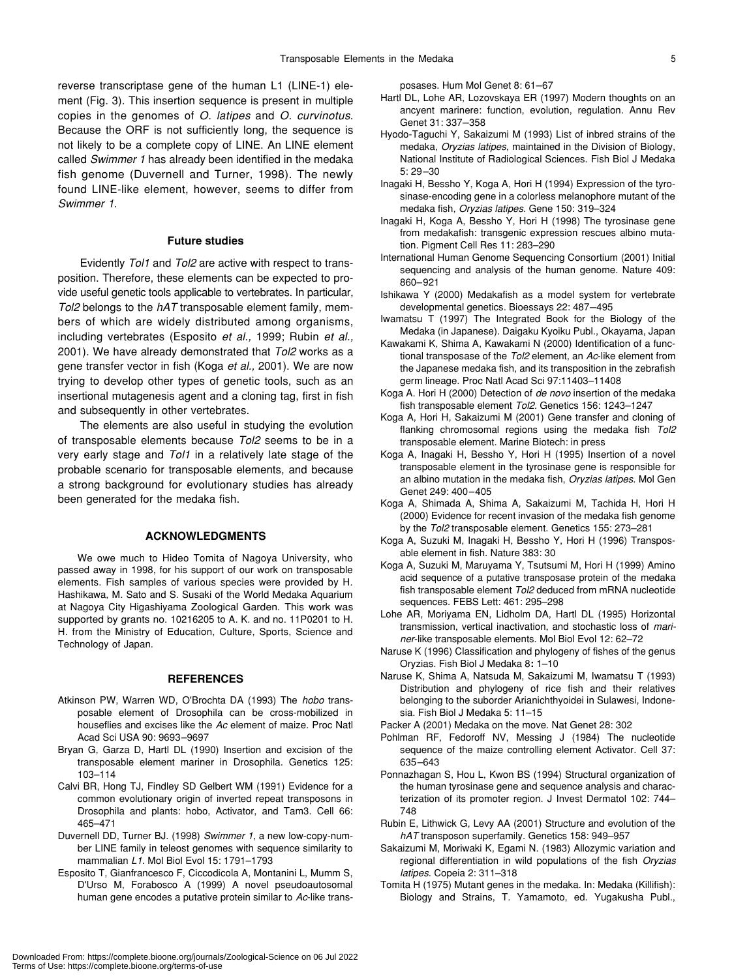reverse transcriptase gene of the human L1 (LINE-1) element (Fig. 3). This insertion sequence is present in multiple copies in the genomes of *O. latipes* and *O. curvinotus*. Because the ORF is not sufficiently long, the sequence is not likely to be a complete copy of LINE. An LINE element called *Swimmer 1* has already been identified in the medaka fish genome (Duvernell and Turner, 1998). The newly found LINE-like element, however, seems to differ from *Swimmer 1*.

#### **Future studies**

Evidently *Tol1* and *Tol2* are active with respect to transposition. Therefore, these elements can be expected to provide useful genetic tools applicable to vertebrates. In particular, *Tol2* belongs to the *hAT* transposable element family, members of which are widely distributed among organisms, including vertebrates (Esposito *et al.,* 1999; Rubin *et al.,* 2001). We have already demonstrated that *Tol2* works as a gene transfer vector in fish (Koga *et al.,* 2001). We are now trying to develop other types of genetic tools, such as an insertional mutagenesis agent and a cloning tag, first in fish and subsequently in other vertebrates.

The elements are also useful in studying the evolution of transposable elements because *Tol2* seems to be in a very early stage and *Tol1* in a relatively late stage of the probable scenario for transposable elements, and because a strong background for evolutionary studies has already been generated for the medaka fish.

#### **ACKNOWLEDGMENTS**

We owe much to Hideo Tomita of Nagoya University, who passed away in 1998, for his support of our work on transposable elements. Fish samples of various species were provided by H. Hashikawa, M. Sato and S. Susaki of the World Medaka Aquarium at Nagoya City Higashiyama Zoological Garden. This work was supported by grants no. 10216205 to A. K. and no. 11P0201 to H. H. from the Ministry of Education, Culture, Sports, Science and Technology of Japan.

#### **REFERENCES**

- Atkinson PW, Warren WD, O'Brochta DA (1993) The *hobo* transposable element of Drosophila can be cross-mobilized in houseflies and excises like the *Ac* element of maize. Proc Natl Acad Sci USA 90: 9693–9697
- Bryan G, Garza D, Hartl DL (1990) Insertion and excision of the transposable element mariner in Drosophila. Genetics 125: 103–114
- Calvi BR, Hong TJ, Findley SD Gelbert WM (1991) Evidence for a common evolutionary origin of inverted repeat transposons in Drosophila and plants: hobo, Activator, and Tam3. Cell 66: 465–471
- Duvernell DD, Turner BJ. (1998) *Swimmer 1*, a new low-copy-number LINE family in teleost genomes with sequence similarity to mammalian *L1*. Mol Biol Evol 15: 1791–1793
- Esposito T, Gianfrancesco F, Ciccodicola A, Montanini L, Mumm S, D'Urso M, Forabosco A (1999) A novel pseudoautosomal human gene encodes a putative protein similar to *Ac*-like trans-

posases. Hum Mol Genet 8: 61–67

- Hartl DL, Lohe AR, Lozovskaya ER (1997) Modern thoughts on an ancyent marinere: function, evolution, regulation. Annu Rev Genet 31: 337–358
- Hyodo-Taguchi Y, Sakaizumi M (1993) List of inbred strains of the medaka, *Oryzias latipes*, maintained in the Division of Biology, National Institute of Radiological Sciences. Fish Biol J Medaka 5: 29–30
- Inagaki H, Bessho Y, Koga A, Hori H (1994) Expression of the tyrosinase-encoding gene in a colorless melanophore mutant of the medaka fish, *Oryzias latipes*. Gene 150: 319–324
- Inagaki H, Koga A, Bessho Y, Hori H (1998) The tyrosinase gene from medakafish: transgenic expression rescues albino mutation. Pigment Cell Res 11: 283–290
- International Human Genome Sequencing Consortium (2001) Initial sequencing and analysis of the human genome. Nature 409: 860–921
- Ishikawa Y (2000) Medakafish as a model system for vertebrate developmental genetics. Bioessays 22: 487–495
- Iwamatsu T (1997) The Integrated Book for the Biology of the Medaka (in Japanese). Daigaku Kyoiku Publ., Okayama, Japan
- Kawakami K, Shima A, Kawakami N (2000) Identification of a functional transposase of the *Tol2* element, an *Ac*-like element from the Japanese medaka fish, and its transposition in the zebrafish germ lineage. Proc Natl Acad Sci 97:11403–11408
- Koga A. Hori H (2000) Detection of *de novo* insertion of the medaka fish transposable element *Tol2*. Genetics 156: 1243–1247
- Koga A, Hori H, Sakaizumi M (2001) Gene transfer and cloning of flanking chromosomal regions using the medaka fish *Tol2* transposable element. Marine Biotech: in press
- Koga A, Inagaki H, Bessho Y, Hori H (1995) Insertion of a novel transposable element in the tyrosinase gene is responsible for an albino mutation in the medaka fish, *Oryzias latipes*. Mol Gen Genet 249: 400–405
- Koga A, Shimada A, Shima A, Sakaizumi M, Tachida H, Hori H (2000) Evidence for recent invasion of the medaka fish genome by the *Tol2* transposable element. Genetics 155: 273–281
- Koga A, Suzuki M, Inagaki H, Bessho Y, Hori H (1996) Transposable element in fish. Nature 383: 30
- Koga A, Suzuki M, Maruyama Y, Tsutsumi M, Hori H (1999) Amino acid sequence of a putative transposase protein of the medaka fish transposable element *Tol2* deduced from mRNA nucleotide sequences. FEBS Lett: 461: 295–298
- Lohe AR, Moriyama EN, Lidholm DA, Hartl DL (1995) Horizontal transmission, vertical inactivation, and stochastic loss of *mariner*-like transposable elements. Mol Biol Evol 12: 62–72
- Naruse K (1996) Classification and phylogeny of fishes of the genus Oryzias. Fish Biol J Medaka 8**:** 1–10
- Naruse K, Shima A, Natsuda M, Sakaizumi M, Iwamatsu T (1993) Distribution and phylogeny of rice fish and their relatives belonging to the suborder Arianichthyoidei in Sulawesi, Indonesia. Fish Biol J Medaka 5: 11–15

Packer A (2001) Medaka on the move. Nat Genet 28: 302

- Pohlman RF, Fedoroff NV, Messing J (1984) The nucleotide sequence of the maize controlling element Activator. Cell 37: 635–643
- Ponnazhagan S, Hou L, Kwon BS (1994) Structural organization of the human tyrosinase gene and sequence analysis and characterization of its promoter region. J Invest Dermatol 102: 744– 748
- Rubin E, Lithwick G, Levy AA (2001) Structure and evolution of the *hAT* transposon superfamily. Genetics 158: 949–957
- Sakaizumi M, Moriwaki K, Egami N. (1983) Allozymic variation and regional differentiation in wild populations of the fish *Oryzias latipes*. Copeia 2: 311–318
- Tomita H (1975) Mutant genes in the medaka. In: Medaka (Killifish): Biology and Strains, T. Yamamoto, ed. Yugakusha Publ.,